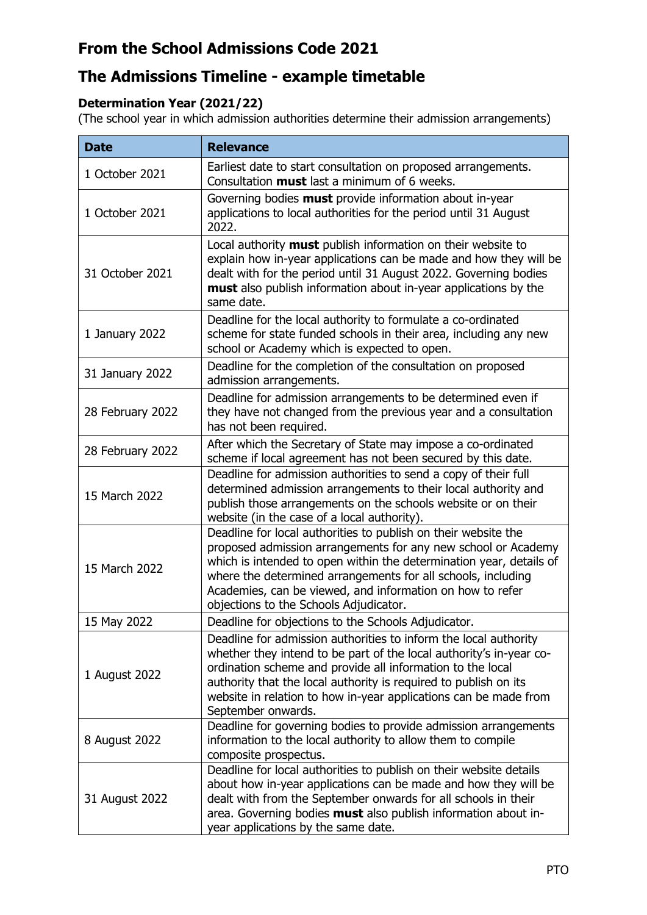# **From the School Admissions Code 2021**

# **The Admissions Timeline - example timetable**

#### **Determination Year (2021/22)**

(The school year in which admission authorities determine their admission arrangements)

| <b>Date</b>      | <b>Relevance</b>                                                                                                                                                                                                                                                                                                                                                              |
|------------------|-------------------------------------------------------------------------------------------------------------------------------------------------------------------------------------------------------------------------------------------------------------------------------------------------------------------------------------------------------------------------------|
| 1 October 2021   | Earliest date to start consultation on proposed arrangements.<br>Consultation must last a minimum of 6 weeks.                                                                                                                                                                                                                                                                 |
| 1 October 2021   | Governing bodies must provide information about in-year<br>applications to local authorities for the period until 31 August<br>2022.                                                                                                                                                                                                                                          |
| 31 October 2021  | Local authority must publish information on their website to<br>explain how in-year applications can be made and how they will be<br>dealt with for the period until 31 August 2022. Governing bodies<br>must also publish information about in-year applications by the<br>same date.                                                                                        |
| 1 January 2022   | Deadline for the local authority to formulate a co-ordinated<br>scheme for state funded schools in their area, including any new<br>school or Academy which is expected to open.                                                                                                                                                                                              |
| 31 January 2022  | Deadline for the completion of the consultation on proposed<br>admission arrangements.                                                                                                                                                                                                                                                                                        |
| 28 February 2022 | Deadline for admission arrangements to be determined even if<br>they have not changed from the previous year and a consultation<br>has not been required.                                                                                                                                                                                                                     |
| 28 February 2022 | After which the Secretary of State may impose a co-ordinated<br>scheme if local agreement has not been secured by this date.                                                                                                                                                                                                                                                  |
| 15 March 2022    | Deadline for admission authorities to send a copy of their full<br>determined admission arrangements to their local authority and<br>publish those arrangements on the schools website or on their<br>website (in the case of a local authority).                                                                                                                             |
| 15 March 2022    | Deadline for local authorities to publish on their website the<br>proposed admission arrangements for any new school or Academy<br>which is intended to open within the determination year, details of<br>where the determined arrangements for all schools, including<br>Academies, can be viewed, and information on how to refer<br>objections to the Schools Adjudicator. |
| 15 May 2022      | Deadline for objections to the Schools Adjudicator.                                                                                                                                                                                                                                                                                                                           |
| 1 August 2022    | Deadline for admission authorities to inform the local authority<br>whether they intend to be part of the local authority's in-year co-<br>ordination scheme and provide all information to the local<br>authority that the local authority is required to publish on its<br>website in relation to how in-year applications can be made from<br>September onwards.           |
| 8 August 2022    | Deadline for governing bodies to provide admission arrangements<br>information to the local authority to allow them to compile<br>composite prospectus.                                                                                                                                                                                                                       |
| 31 August 2022   | Deadline for local authorities to publish on their website details<br>about how in-year applications can be made and how they will be<br>dealt with from the September onwards for all schools in their<br>area. Governing bodies must also publish information about in-<br>year applications by the same date.                                                              |